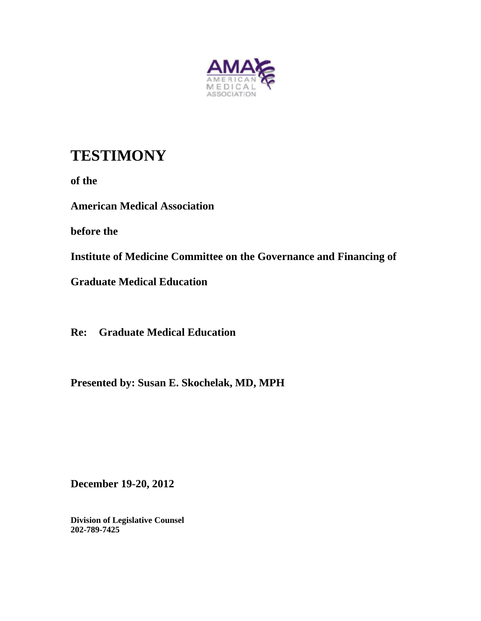

# **TESTIMONY**

**of the** 

**American Medical Association** 

**before the** 

**Institute of Medicine Committee on the Governance and Financing of** 

**Graduate Medical Education** 

**Re: Graduate Medical Education** 

**Presented by: Susan E. Skochelak, MD, MPH** 

**December 19-20, 2012** 

**Division of Legislative Counsel 202-789-7425**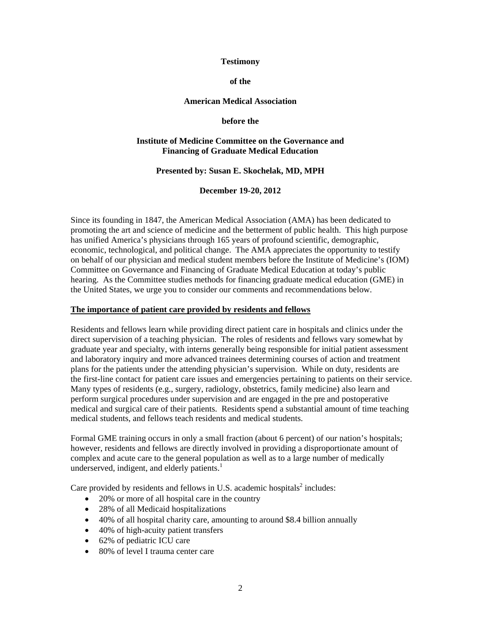#### **Testimony**

**of the** 

## **American Medical Association**

**before the** 

#### **Institute of Medicine Committee on the Governance and Financing of Graduate Medical Education**

#### **Presented by: Susan E. Skochelak, MD, MPH**

**December 19-20, 2012** 

Since its founding in 1847, the American Medical Association (AMA) has been dedicated to promoting the art and science of medicine and the betterment of public health. This high purpose economic, technological, and political change. The AMA appreciates the opportunity to testify on behalf of our physician and medical student members before the Institute of Medicine's (IOM) hearing. As the Committee studies methods for financing graduate medical education (GME) in has unified America's physicians through 165 years of profound scientific, demographic, Committee on Governance and Financing of Graduate Medical Education at today's public the United States, we urge you to consider our comments and recommendations below.

## **he importance of patient care provided by residents and fellows T**

Residents and fellows learn while providing direct patient care in hospitals and clinics under the the first-line contact for patient care issues and emergencies pertaining to patients on their service. medical and surgical care of their patients. Residents spend a substantial amount of time teaching direct supervision of a teaching physician. The roles of residents and fellows vary somewhat by graduate year and specialty, with interns generally being responsible for initial patient assessment and laboratory inquiry and more advanced trainees determining courses of action and treatment plans for the patients under the attending physician's supervision. While on duty, residents are Many types of residents (e.g., surgery, radiology, obstetrics, family medicine) also learn and perform surgical procedures under supervision and are engaged in the pre and postoperative medical students, and fellows teach residents and medical students.

Formal GME training occurs in only a small fraction (about 6 percent) of our nation's hospitals; however, residents and fellows are directly involved in providing a disproportionate amount of complex and acute care to the general population as well as to a large number of medically underserved, indigent, and elderly patients.<sup>1</sup>

Care provided by residents and fellows in U.S. academic hospitals<sup>2</sup> includes:

- 20% or more of all hospital care in the country
- 28% of all Medicaid hospitalizations
- 40% of all hospital charity care, amounting to around \$8.4 billion annually
- 40% of high-acuity patient transfers
- 62% of pediatric ICU care
- 80% of level I trauma center care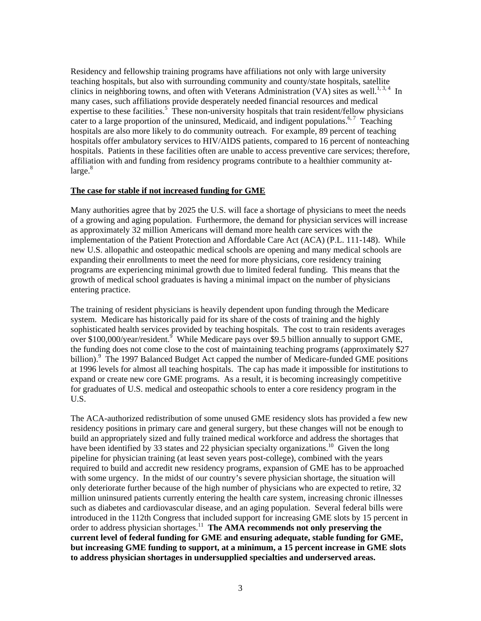Residency and fellowship training programs have affiliations not only with large university clinics in neighboring towns, and often with Veterans Administration (VA) sites as well.<sup>1,3,4</sup> In expertise to these facilities.<sup>5</sup> These non-university hospitals that train resident/fellow physicians hospitals offer ambulatory services to HIV/AIDS patients, compared to 16 percent of nonteaching teaching hospitals, but also with surrounding community and county/state hospitals, satellite many cases, such affiliations provide desperately needed financial resources and medical cater to a large proportion of the uninsured, Medicaid, and indigent populations.<sup>6,7</sup> Teaching hospitals are also more likely to do community outreach. For example, 89 percent of teaching hospitals. Patients in these facilities often are unable to access preventive care services; therefore, affiliation with and funding from residency programs contribute to a healthier community at $large.<sup>8</sup>$ 

#### **he case for stable if not increased funding for GME T**

Many authorities agree that by 2025 the U.S. will face a shortage of physicians to meet the needs implementation of the Patient Protection and Affordable Care Act (ACA) (P.L. 111-148). While programs are experiencing minimal growth due to limited federal funding. This means that the of a growing and aging population. Furthermore, the demand for physician services will increase as approximately 32 million Americans will demand more health care services with the new U.S. allopathic and osteopathic medical schools are opening and many medical schools are expanding their enrollments to meet the need for more physicians, core residency training growth of medical school graduates is having a minimal impact on the number of physicians entering practice.

The training of resident physicians is heavily dependent upon funding through the Medicare sophisticated health services provided by teaching hospitals. The cost to train residents averages system. Medicare has historically paid for its share of the costs of training and the highly over \$100,000/year/resident.<sup>9</sup> While Medicare pays over \$9.5 billion annually to support GME, the funding does not come close to the cost of maintaining teaching programs (approximately \$27 billion).<sup>9</sup> The 1997 Balanced Budget Act capped the number of Medicare-funded GME positions at 1996 levels for almost all teaching hospitals. The cap has made it impossible for institutions to expand or create new core GME programs. As a result, it is becoming increasingly competitive for graduates of U.S. medical and osteopathic schools to enter a core residency program in the U.S.

The ACA-authorized redistribution of some unused GME residency slots has provided a few new required to build and accredit new residency programs, expansion of GME has to be approached current level of federal funding for GME and ensuring adequate, stable funding for GME, **to address physician shortages in undersupplied specialties and underserved areas.**  residency positions in primary care and general surgery, but these changes will not be enough to build an appropriately sized and fully trained medical workforce and address the shortages that have been identified by 33 states and 22 physician specialty organizations.<sup>10</sup> Given the long pipeline for physician training (at least seven years post-college), combined with the years with some urgency. In the midst of our country's severe physician shortage, the situation will only deteriorate further because of the high number of physicians who are expected to retire, 32 million uninsured patients currently entering the health care system, increasing chronic illnesses such as diabetes and cardiovascular disease, and an aging population. Several federal bills were introduced in the 112th Congress that included support for increasing GME slots by 15 percent in order to address physician shortages.<sup>11</sup> The AMA recommends not only preserving the **but increasing GME funding to support, at a minimum, a 15 percent increase in GME slots**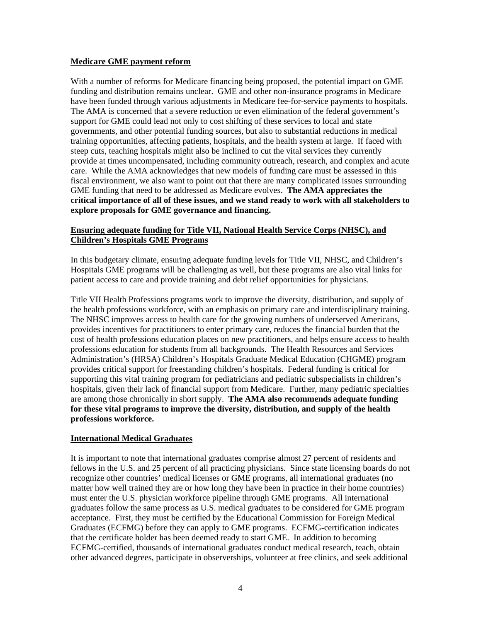## **Medicare GME payment reform**

With a number of reforms for Medicare financing being proposed, the potential impact on GME funding and distribution remains unclear. GME and other non-insurance programs in Medicare have been funded through various adjustments in Medicare fee-for-service payments to hospitals. training opportunities, affecting patients, hospitals, and the health system at large. If faced with provide at times uncompensated, including community outreach, research, and complex and acute care. While the AMA acknowledges that new models of funding care must be assessed in this The AMA is concerned that a severe reduction or even elimination of the federal government's support for GME could lead not only to cost shifting of these services to local and state governments, and other potential funding sources, but also to substantial reductions in medical steep cuts, teaching hospitals might also be inclined to cut the vital services they currently fiscal environment, we also want to point out that there are many complicated issues surrounding GME funding that need to be addressed as Medicare evolves. **The AMA appreciates the critical importance of all of these issues, and we stand ready to work with all stakeholders to explore proposals for GME governance and financing.** 

## **Ensuring adequate funding for Title VII, National Health Service Corps (NHSC), and Children's Hospitals GME Programs**

In this budgetary climate, ensuring adequate funding levels for Title VII, NHSC, and Children's Hospitals GME programs will be challenging as well, but these programs are also vital links for patient access to care and provide training and debt relief opportunities for physicians.

Title VII Health Professions programs work to improve the diversity, distribution, and supply of the health professions workforce, with an emphasis on primary care and interdisciplinary training. cost of health professions education places on new practitioners, and helps ensure access to health hospitals, given their lack of financial support from Medicare. Further, many pediatric specialties The NHSC improves access to health care for the growing numbers of underserved Americans, provides incentives for practitioners to enter primary care, reduces the financial burden that the professions education for students from all backgrounds. The Health Resources and Services Administration's (HRSA) Children's Hospitals Graduate Medical Education (CHGME) program provides critical support for freestanding children's hospitals. Federal funding is critical for supporting this vital training program for pediatricians and pediatric subspecialists in children's are among those chronically in short supply. **The AMA also recommends adequate funding for these vital programs to improve the diversity, distribution, and supply of the health professions workforce.**

## **International Medical Graduates**

It is important to note that international graduates comprise almost 27 percent of residents and fellows in the U.S. and 25 percent of all practicing physicians. Since state licensing boards do not acceptance. First, they must be certified by the Educational Commission for Foreign Medical other advanced degrees, participate in observerships, volunteer at free clinics, and seek additional recognize other countries' medical licenses or GME programs, all international graduates (no matter how well trained they are or how long they have been in practice in their home countries) must enter the U.S. physician workforce pipeline through GME programs. All international graduates follow the same process as U.S. medical graduates to be considered for GME program Graduates (ECFMG) before they can apply to GME programs. ECFMG-certification indicates that the certificate holder has been deemed ready to start GME. In addition to becoming ECFMG-certified, thousands of international graduates conduct medical research, teach, obtain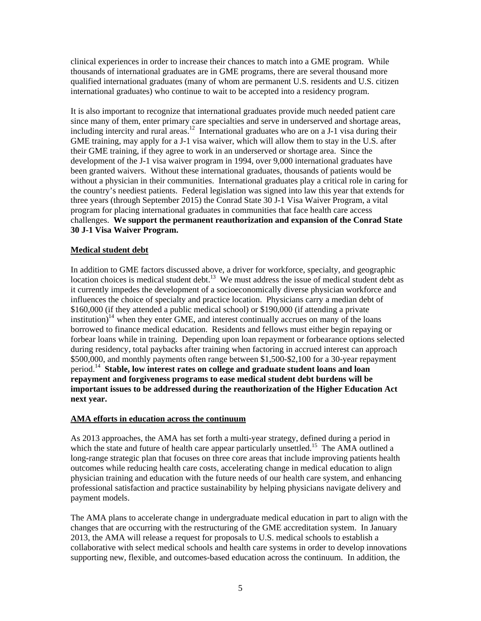clinical experiences in order to increase their chances to match into a GME program. While thousands of international graduates are in GME programs, there are several thousand more qualified international graduates (many of whom are permanent U.S. residents and U.S. citize n international graduates) who continue to wait to be accepted into a residency program.

It is also important to recognize that international graduates provide much needed patient care since many of them, enter primary care specialties and serve in underserved and shortage areas, been granted waivers. Without these international graduates, thousands of patients would be without a physician in their communities. International graduates play a critical role in caring for the country's neediest patients. Federal legislation was signed into law this year that extends for challenges. We support the permanent reauthorization and expansion of the Conrad State including intercity and rural areas.<sup>12</sup> International graduates who are on a J-1 visa during their GME training, may apply for a J-1 visa waiver, which will allow them to stay in the U.S. after their GME training, if they agree to work in an underserved or shortage area. Since the development of the J-1 visa waiver program in 1994, over 9,000 international graduates have three years (through September 2015) the Conrad State 30 J-1 Visa Waiver Program, a vital program for placing international graduates in communities that face health care access **30 J-1 Visa Waiver Program.** 

## **Medical student debt**

In addition to GME factors discussed above, a driver for workforce, specialty, and geographic location choices is medical student debt.<sup>13</sup> We must address the issue of medical student debt as borrowed to finance medical education. Residents and fellows must either begin repaying or forbear loans while in training. Depending upon loan repayment or forbearance options selected important issues to be addressed during the reauthorization of the Higher Education Act it currently impedes the development of a socioeconomically diverse physician workforce and influences the choice of specialty and practice location. Physicians carry a median debt of \$160,000 (if they attended a public medical school) or \$190,000 (if attending a private institution)<sup>14</sup> when they enter GME, and interest continually accrues on many of the loans during residency, total paybacks after training when factoring in accrued interest can approach \$500,000, and monthly payments often range between \$1,500-\$2,100 for a 30-year repayment period.14 **Stable, low interest rates on college and graduate student loans and loan repayment and forgiveness programs to ease medical student debt burdens will be next year.** 

## **AMA efforts in education across the continuum**

As 2013 approaches, the AMA has set forth a multi-year strategy, defined during a period in which the state and future of health care appear particularly unsettled.<sup>15</sup> The AMA outlined a long-range strategic plan that focuses on three core areas that include improving patients health professional satisfaction and practice sustainability by helping physicians navigate delivery and outcomes while reducing health care costs, accelerating change in medical education to align physician training and education with the future needs of our health care system, and enhancing payment models.

The AMA plans to accelerate change in undergraduate medical education in part to align with the hanges that are occurring with the restructuring of the GME accreditation system. In January c collaborative with select medical schools and health care systems in order to develop innovations supporting new, flexible, and outcomes-based education across the continuum. In addition, the 2013, the AMA will release a request for proposals to U.S. medical schools to establish a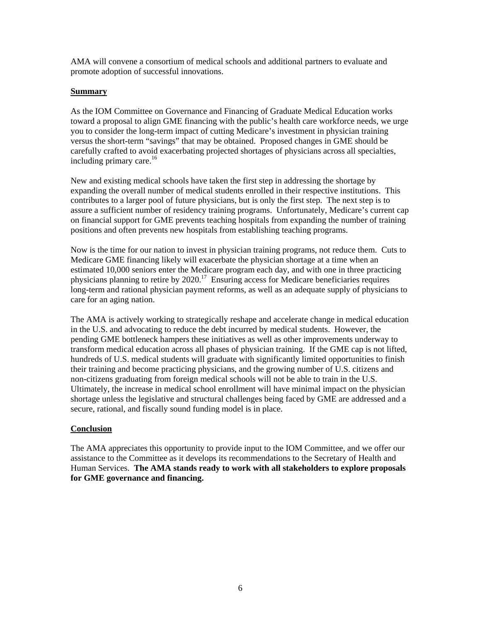AMA will convene a consortium of medical schools and additional partners to evaluate and promote adoption of successful innovations.

## **Summary**

As the IOM Committee on Governance and Financing of Graduate Medical Education works toward a proposal to align GME financing with the public's health care workforce needs, we urge carefully crafted to avoid exacerbating projected shortages of physicians across all specialties, you to consider the long-term impact of cutting Medicare's investment in physician training versus the short-term "savings" that may be obtained. Proposed changes in GME should be including primary care. $^{16}$ 

New and existing medical schools have taken the first step in addressing the shortage by xpanding the overall number of medical students enrolled in their respective institutions. This e contributes to a larger pool of future physicians, but is only the first step. The next step is to assure a sufficient number of residency training programs. Unfortunately, Medicare's current cap on financial support for GME prevents teaching hospitals from expanding the number of training positions and often prevents new hospitals from establishing teaching programs.

Now is the time for our nation to invest in physician training programs, not reduce them. Cuts to Medicare GME financing likely will exacerbate the physician shortage at a time when an physicians planning to retire by  $2020$ .<sup>17</sup> Ensuring access for Medicare beneficiaries requires estimated 10,000 seniors enter the Medicare program each day, and with one in three practicing long-term and rational physician payment reforms, as well as an adequate supply of physicians to care for an aging nation.

The AMA is actively working to strategically reshape and accelerate change in medical education in the U.S. and advocating to reduce the debt incurred by medical students. However, the transform medical education across all phases of physician training. If the GME cap is not lifted, Ultimately, the increase in medical school enrollment will have minimal impact on the physician shortage unless the legislative and structural challenges being faced by GME are addressed and a pending GME bottleneck hampers these initiatives as well as other improvements underway to hundreds of U.S. medical students will graduate with significantly limited opportunities to finish their training and become practicing physicians, and the growing number of U.S. citizens and non-citizens graduating from foreign medical schools will not be able to train in the U.S. secure, rational, and fiscally sound funding model is in place.

## **Conclusion**

The AMA appreciates this opportunity to provide input to the IOM Committee, and we offer our assistance to the Committee as it develops its recommendations to the Secretary of Health and Human Services. **The AMA stands ready to work with all stakeholders to explore proposals for GME governance and financing.**